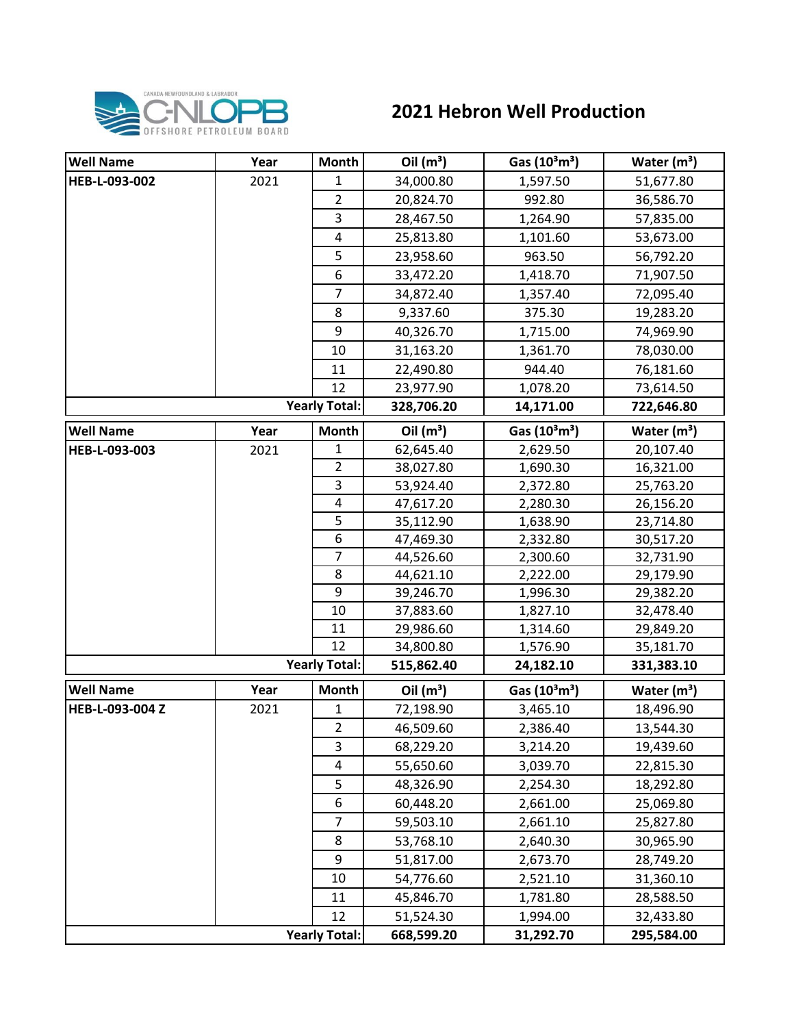

## **2021 Hebron Well Production**

| <b>Well Name</b> | Year | Month                | Oil $(m^3)$ | Gas $(10^3 \text{m}^3)$ | Water $(m^3)$ |
|------------------|------|----------------------|-------------|-------------------------|---------------|
| HEB-L-093-002    | 2021 | $\mathbf{1}$         | 34,000.80   | 1,597.50                | 51,677.80     |
|                  |      | $\overline{2}$       | 20,824.70   | 992.80                  | 36,586.70     |
|                  |      | 3                    | 28,467.50   | 1,264.90                | 57,835.00     |
|                  |      | 4                    | 25,813.80   | 1,101.60                | 53,673.00     |
|                  |      | 5                    | 23,958.60   | 963.50                  | 56,792.20     |
|                  |      | 6                    | 33,472.20   | 1,418.70                | 71,907.50     |
|                  |      | $\overline{7}$       | 34,872.40   | 1,357.40                | 72,095.40     |
|                  |      | 8                    | 9,337.60    | 375.30                  | 19,283.20     |
|                  |      | 9                    | 40,326.70   | 1,715.00                | 74,969.90     |
|                  |      | 10                   | 31,163.20   | 1,361.70                | 78,030.00     |
|                  |      | 11                   | 22,490.80   | 944.40                  | 76,181.60     |
|                  |      | 12                   | 23,977.90   | 1,078.20                | 73,614.50     |
|                  |      | <b>Yearly Total:</b> | 328,706.20  | 14,171.00               | 722,646.80    |
| <b>Well Name</b> | Year | <b>Month</b>         | Oil $(m^3)$ | Gas $(10^3 \text{m}^3)$ | Water $(m^3)$ |
| HEB-L-093-003    | 2021 | 1                    | 62,645.40   | 2,629.50                | 20,107.40     |
|                  |      | $\overline{2}$       | 38,027.80   | 1,690.30                | 16,321.00     |
|                  |      | 3                    | 53,924.40   | 2,372.80                | 25,763.20     |
|                  |      | 4                    | 47,617.20   | 2,280.30                | 26,156.20     |
|                  |      | 5                    | 35,112.90   | 1,638.90                | 23,714.80     |
|                  |      | 6                    | 47,469.30   | 2,332.80                | 30,517.20     |
|                  |      | $\overline{7}$       | 44,526.60   | 2,300.60                | 32,731.90     |
|                  |      | 8                    | 44,621.10   | 2,222.00                | 29,179.90     |
|                  |      | 9                    | 39,246.70   | 1,996.30                | 29,382.20     |
|                  |      | 10                   | 37,883.60   | 1,827.10                | 32,478.40     |
|                  |      | 11                   | 29,986.60   | 1,314.60                | 29,849.20     |
|                  |      | 12                   | 34,800.80   | 1,576.90                | 35,181.70     |
|                  |      | <b>Yearly Total:</b> | 515,862.40  | 24,182.10               | 331,383.10    |
| <b>Well Name</b> | Year | Month                | Oil $(m^3)$ | Gas $(10^3 \text{m}^3)$ | Water $(m^3)$ |
| HEB-L-093-004 Z  | 2021 | 1                    | 72,198.90   | 3,465.10                | 18,496.90     |
|                  |      | $\overline{2}$       | 46,509.60   | 2,386.40                | 13,544.30     |
|                  |      | 3                    | 68,229.20   | 3,214.20                | 19,439.60     |
|                  |      | 4                    | 55,650.60   | 3,039.70                | 22,815.30     |
|                  |      | 5                    | 48,326.90   | 2,254.30                | 18,292.80     |
|                  |      | 6                    | 60,448.20   | 2,661.00                | 25,069.80     |
|                  |      | $\overline{7}$       | 59,503.10   | 2,661.10                | 25,827.80     |
|                  |      | 8                    | 53,768.10   | 2,640.30                | 30,965.90     |
|                  |      | 9                    | 51,817.00   | 2,673.70                | 28,749.20     |
|                  |      | 10                   | 54,776.60   | 2,521.10                | 31,360.10     |
|                  |      | 11                   | 45,846.70   | 1,781.80                | 28,588.50     |
|                  |      | 12                   | 51,524.30   | 1,994.00                | 32,433.80     |
|                  |      | <b>Yearly Total:</b> | 668,599.20  | 31,292.70               | 295,584.00    |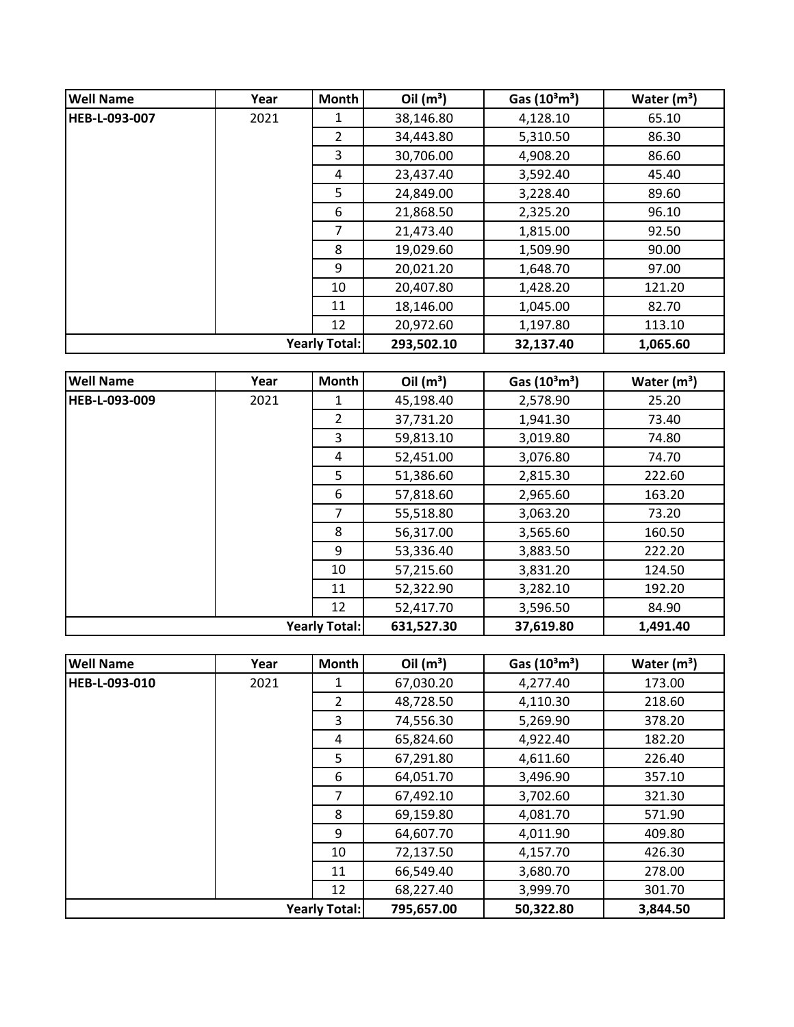| <b>Well Name</b>     | Year | <b>Month</b>   | Oil $(m^3)$ | Gas $(10^3 \text{m}^3)$ | Water $(m^3)$ |
|----------------------|------|----------------|-------------|-------------------------|---------------|
| <b>HEB-L-093-007</b> | 2021 | 1              | 38,146.80   | 4,128.10                | 65.10         |
|                      |      | $\overline{2}$ | 34,443.80   | 5,310.50                | 86.30         |
|                      |      | 3              | 30,706.00   | 4,908.20                | 86.60         |
|                      |      | 4              | 23,437.40   | 3,592.40                | 45.40         |
|                      |      | 5              | 24,849.00   | 3,228.40                | 89.60         |
|                      |      | 6              | 21,868.50   | 2,325.20                | 96.10         |
|                      |      | 7              | 21,473.40   | 1,815.00                | 92.50         |
|                      |      | 8              | 19,029.60   | 1,509.90                | 90.00         |
|                      |      | 9              | 20,021.20   | 1,648.70                | 97.00         |
|                      |      | 10             | 20,407.80   | 1,428.20                | 121.20        |
|                      |      | 11             | 18,146.00   | 1,045.00                | 82.70         |
|                      |      | 12             | 20,972.60   | 1,197.80                | 113.10        |
| <b>Yearly Total:</b> |      |                | 293,502.10  | 32,137.40               | 1,065.60      |

| <b>Well Name</b>     | Year | <b>Month</b>   | Oil $(m^3)$ | Gas $(10^3 \text{m}^3)$ | Water $(m^3)$ |
|----------------------|------|----------------|-------------|-------------------------|---------------|
| <b>HEB-L-093-009</b> | 2021 | 1              | 45,198.40   | 2,578.90                | 25.20         |
|                      |      | $\overline{2}$ | 37,731.20   | 1,941.30                | 73.40         |
|                      |      | 3              | 59,813.10   | 3,019.80                | 74.80         |
|                      |      | 4              | 52,451.00   | 3,076.80                | 74.70         |
|                      |      | 5              | 51,386.60   | 2,815.30                | 222.60        |
|                      |      | 6              | 57,818.60   | 2,965.60                | 163.20        |
|                      |      | $\overline{7}$ | 55,518.80   | 3,063.20                | 73.20         |
|                      |      | 8              | 56,317.00   | 3,565.60                | 160.50        |
|                      |      | 9              | 53,336.40   | 3,883.50                | 222.20        |
|                      |      | 10             | 57,215.60   | 3,831.20                | 124.50        |
|                      |      | 11             | 52,322.90   | 3,282.10                | 192.20        |
|                      |      | 12             | 52,417.70   | 3,596.50                | 84.90         |
| <b>Yearly Total:</b> |      |                | 631,527.30  | 37,619.80               | 1,491.40      |

| <b>Well Name</b>     | Year | <b>Month</b>   | Oil $(m^3)$ | Gas $(10^3 \text{m}^3)$ | Water $(m^3)$ |
|----------------------|------|----------------|-------------|-------------------------|---------------|
| <b>HEB-L-093-010</b> | 2021 |                | 67,030.20   | 4,277.40                | 173.00        |
|                      |      | $\overline{2}$ | 48,728.50   | 4,110.30                | 218.60        |
|                      |      | 3              | 74,556.30   | 5,269.90                | 378.20        |
|                      |      | 4              | 65,824.60   | 4,922.40                | 182.20        |
|                      |      | 5              | 67,291.80   | 4,611.60                | 226.40        |
|                      |      | 6              | 64,051.70   | 3,496.90                | 357.10        |
|                      |      | $\overline{7}$ | 67,492.10   | 3,702.60                | 321.30        |
|                      |      | 8              | 69,159.80   | 4,081.70                | 571.90        |
|                      |      | 9              | 64,607.70   | 4,011.90                | 409.80        |
|                      |      | 10             | 72,137.50   | 4,157.70                | 426.30        |
|                      |      | 11             | 66,549.40   | 3,680.70                | 278.00        |
|                      |      | 12             | 68,227.40   | 3,999.70                | 301.70        |
| <b>Yearly Total:</b> |      |                | 795,657.00  | 50,322.80               | 3,844.50      |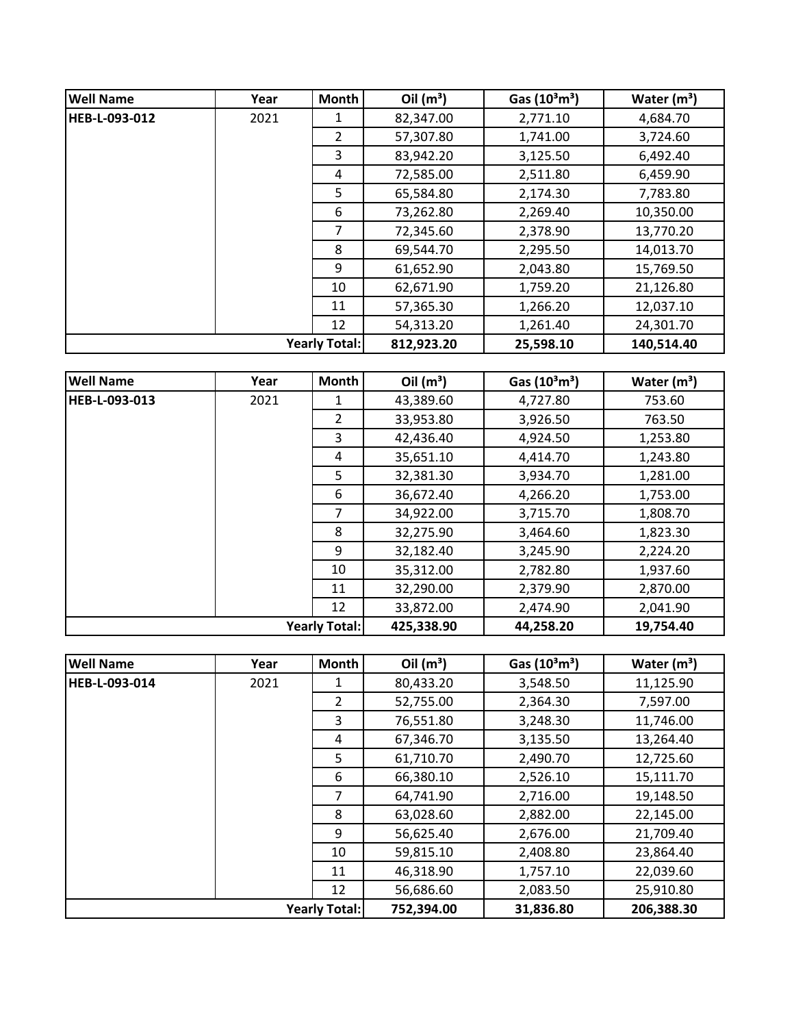| <b>Well Name</b> | Year                 | <b>Month</b>   | Oil $(m^3)$ | Gas $(10^3 \text{m}^3)$ | Water $(m^3)$ |
|------------------|----------------------|----------------|-------------|-------------------------|---------------|
| HEB-L-093-012    | 2021                 | 1              | 82,347.00   | 2,771.10                | 4,684.70      |
|                  |                      | $\overline{2}$ | 57,307.80   | 1,741.00                | 3,724.60      |
|                  |                      | 3              | 83,942.20   | 3,125.50                | 6,492.40      |
|                  |                      | 4              | 72,585.00   | 2,511.80                | 6,459.90      |
|                  |                      | 5.             | 65,584.80   | 2,174.30                | 7,783.80      |
|                  |                      | 6              | 73,262.80   | 2,269.40                | 10,350.00     |
|                  |                      | 7              | 72,345.60   | 2,378.90                | 13,770.20     |
|                  |                      | 8              | 69,544.70   | 2,295.50                | 14,013.70     |
|                  |                      | 9              | 61,652.90   | 2,043.80                | 15,769.50     |
|                  |                      | 10             | 62,671.90   | 1,759.20                | 21,126.80     |
|                  |                      | 11             | 57,365.30   | 1,266.20                | 12,037.10     |
|                  |                      | 12             | 54,313.20   | 1,261.40                | 24,301.70     |
|                  | <b>Yearly Total:</b> |                | 812,923.20  | 25,598.10               | 140,514.40    |

| <b>Well Name</b> | Year | <b>Month</b>         | Oil $(m^3)$ | Gas $(10^3 \text{m}^3)$ | Water $(m^3)$ |
|------------------|------|----------------------|-------------|-------------------------|---------------|
| HEB-L-093-013    | 2021 | 1                    | 43,389.60   | 4,727.80                | 753.60        |
|                  |      | $\overline{2}$       | 33,953.80   | 3,926.50                | 763.50        |
|                  |      | 3                    | 42,436.40   | 4,924.50                | 1,253.80      |
|                  |      | 4                    | 35,651.10   | 4,414.70                | 1,243.80      |
|                  |      | 5                    | 32,381.30   | 3,934.70                | 1,281.00      |
|                  |      | 6                    | 36,672.40   | 4,266.20                | 1,753.00      |
|                  |      | 7                    | 34,922.00   | 3,715.70                | 1,808.70      |
|                  |      | 8                    | 32,275.90   | 3,464.60                | 1,823.30      |
|                  |      | 9                    | 32,182.40   | 3,245.90                | 2,224.20      |
|                  |      | 10                   | 35,312.00   | 2,782.80                | 1,937.60      |
|                  |      | 11                   | 32,290.00   | 2,379.90                | 2,870.00      |
|                  |      | 12                   | 33,872.00   | 2,474.90                | 2,041.90      |
|                  |      | <b>Yearly Total:</b> | 425,338.90  | 44,258.20               | 19,754.40     |

| <b>Well Name</b>     | Year | Month          | Oil $(m^3)$ | Gas $(10^3 \text{m}^3)$ | Water $(m^3)$ |
|----------------------|------|----------------|-------------|-------------------------|---------------|
| <b>HEB-L-093-014</b> | 2021 |                | 80,433.20   | 3,548.50                | 11,125.90     |
|                      |      | $\overline{2}$ | 52,755.00   | 2,364.30                | 7,597.00      |
|                      |      | 3              | 76,551.80   | 3,248.30                | 11,746.00     |
|                      |      | 4              | 67,346.70   | 3,135.50                | 13,264.40     |
|                      |      | 5              | 61,710.70   | 2,490.70                | 12,725.60     |
|                      |      | 6              | 66,380.10   | 2,526.10                | 15,111.70     |
|                      |      | $\overline{7}$ | 64,741.90   | 2,716.00                | 19,148.50     |
|                      |      | 8              | 63,028.60   | 2,882.00                | 22,145.00     |
|                      |      | 9              | 56,625.40   | 2,676.00                | 21,709.40     |
|                      |      | 10             | 59,815.10   | 2,408.80                | 23,864.40     |
|                      |      | 11             | 46,318.90   | 1,757.10                | 22,039.60     |
|                      |      | 12             | 56,686.60   | 2,083.50                | 25,910.80     |
| <b>Yearly Total:</b> |      |                | 752,394.00  | 31,836.80               | 206,388.30    |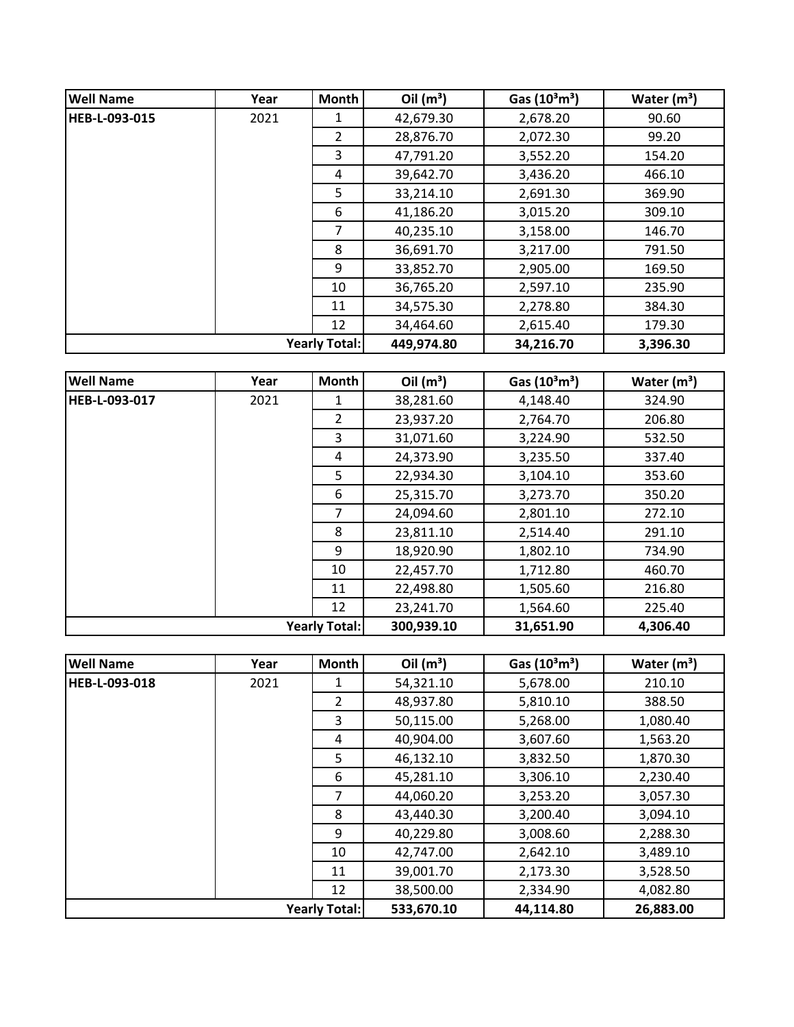| <b>Well Name</b>     | Year                 | <b>Month</b>   | Oil $(m^3)$ | Gas $(10^3 \text{m}^3)$ | Water $(m^3)$ |
|----------------------|----------------------|----------------|-------------|-------------------------|---------------|
| <b>HEB-L-093-015</b> | 2021                 | 1              | 42,679.30   | 2,678.20                | 90.60         |
|                      |                      | $\overline{2}$ | 28,876.70   | 2,072.30                | 99.20         |
|                      |                      | 3              | 47,791.20   | 3,552.20                | 154.20        |
|                      |                      | 4              | 39,642.70   | 3,436.20                | 466.10        |
|                      |                      | 5              | 33,214.10   | 2,691.30                | 369.90        |
|                      |                      | 6              | 41,186.20   | 3,015.20                | 309.10        |
|                      |                      | 7              | 40,235.10   | 3,158.00                | 146.70        |
|                      |                      | 8              | 36,691.70   | 3,217.00                | 791.50        |
|                      |                      | 9              | 33,852.70   | 2,905.00                | 169.50        |
|                      |                      | 10             | 36,765.20   | 2,597.10                | 235.90        |
|                      |                      | 11             | 34,575.30   | 2,278.80                | 384.30        |
|                      |                      | 12             | 34,464.60   | 2,615.40                | 179.30        |
|                      | <b>Yearly Total:</b> |                | 449,974.80  | 34,216.70               | 3,396.30      |

| <b>Well Name</b>     | Year | <b>Month</b>   | Oil $(m^3)$ | Gas $(10^3 \text{m}^3)$ | Water $(m^3)$ |
|----------------------|------|----------------|-------------|-------------------------|---------------|
| <b>HEB-L-093-017</b> | 2021 | 1              | 38,281.60   | 4,148.40                | 324.90        |
|                      |      | $\overline{2}$ | 23,937.20   | 2,764.70                | 206.80        |
|                      |      | 3              | 31,071.60   | 3,224.90                | 532.50        |
|                      |      | 4              | 24,373.90   | 3,235.50                | 337.40        |
|                      |      | 5              | 22,934.30   | 3,104.10                | 353.60        |
|                      |      | 6              | 25,315.70   | 3,273.70                | 350.20        |
|                      |      | 7              | 24,094.60   | 2,801.10                | 272.10        |
|                      |      | 8              | 23,811.10   | 2,514.40                | 291.10        |
|                      |      | 9              | 18,920.90   | 1,802.10                | 734.90        |
|                      |      | 10             | 22,457.70   | 1,712.80                | 460.70        |
|                      |      | 11             | 22,498.80   | 1,505.60                | 216.80        |
|                      |      | 12             | 23,241.70   | 1,564.60                | 225.40        |
| <b>Yearly Total:</b> |      |                | 300,939.10  | 31,651.90               | 4,306.40      |

| <b>Well Name</b>     | Year | <b>Month</b>   | Oil $(m^3)$ | Gas $(10^3 \text{m}^3)$ | Water $(m^3)$ |
|----------------------|------|----------------|-------------|-------------------------|---------------|
| <b>HEB-L-093-018</b> | 2021 | 1              | 54,321.10   | 5,678.00                | 210.10        |
|                      |      | $\overline{2}$ | 48,937.80   | 5,810.10                | 388.50        |
|                      |      | 3              | 50,115.00   | 5,268.00                | 1,080.40      |
|                      |      | 4              | 40,904.00   | 3,607.60                | 1,563.20      |
|                      |      | 5              | 46,132.10   | 3,832.50                | 1,870.30      |
|                      |      | 6              | 45,281.10   | 3,306.10                | 2,230.40      |
|                      |      | 7              | 44,060.20   | 3,253.20                | 3,057.30      |
|                      |      | 8              | 43,440.30   | 3,200.40                | 3,094.10      |
|                      |      | 9              | 40,229.80   | 3,008.60                | 2,288.30      |
|                      |      | 10             | 42,747.00   | 2,642.10                | 3,489.10      |
|                      |      | 11             | 39,001.70   | 2,173.30                | 3,528.50      |
|                      |      | 12             | 38,500.00   | 2,334.90                | 4,082.80      |
| <b>Yearly Total:</b> |      |                | 533,670.10  | 44,114.80               | 26,883.00     |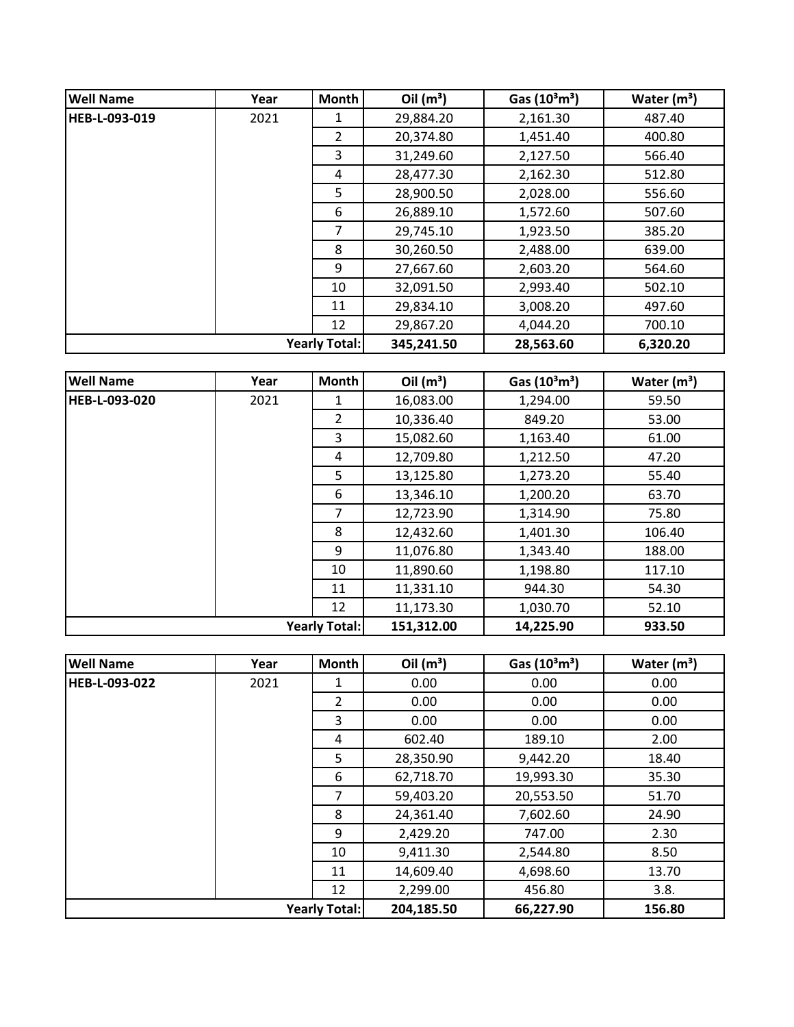| <b>Well Name</b>     | Year                 | <b>Month</b>   | Oil $(m^3)$ | Gas $(10^3 \text{m}^3)$ | Water $(m^3)$ |
|----------------------|----------------------|----------------|-------------|-------------------------|---------------|
| <b>HEB-L-093-019</b> | 2021                 | 1              | 29,884.20   | 2,161.30                | 487.40        |
|                      |                      | $\overline{2}$ | 20,374.80   | 1,451.40                | 400.80        |
|                      |                      | 3              | 31,249.60   | 2,127.50                | 566.40        |
|                      |                      | 4              | 28,477.30   | 2,162.30                | 512.80        |
|                      |                      | 5              | 28,900.50   | 2,028.00                | 556.60        |
|                      |                      | 6              | 26,889.10   | 1,572.60                | 507.60        |
|                      |                      | 7              | 29,745.10   | 1,923.50                | 385.20        |
|                      |                      | 8              | 30,260.50   | 2,488.00                | 639.00        |
|                      |                      | 9              | 27,667.60   | 2,603.20                | 564.60        |
|                      |                      | 10             | 32,091.50   | 2,993.40                | 502.10        |
|                      |                      | 11             | 29,834.10   | 3,008.20                | 497.60        |
|                      |                      | 12             | 29,867.20   | 4,044.20                | 700.10        |
|                      | <b>Yearly Total:</b> |                | 345,241.50  | 28,563.60               | 6,320.20      |

| <b>Well Name</b>     | Year | Month          | Oil $(m^3)$ | Gas $(10^3 \text{m}^3)$ | Water $(m^3)$ |
|----------------------|------|----------------|-------------|-------------------------|---------------|
| HEB-L-093-020        | 2021 | 1              | 16,083.00   | 1,294.00                | 59.50         |
|                      |      | $\overline{2}$ | 10,336.40   | 849.20                  | 53.00         |
|                      |      | 3              | 15,082.60   | 1,163.40                | 61.00         |
|                      |      | 4              | 12,709.80   | 1,212.50                | 47.20         |
|                      |      | 5              | 13,125.80   | 1,273.20                | 55.40         |
|                      |      | 6              | 13,346.10   | 1,200.20                | 63.70         |
|                      |      | $\overline{7}$ | 12,723.90   | 1,314.90                | 75.80         |
|                      |      | 8              | 12,432.60   | 1,401.30                | 106.40        |
|                      |      | 9              | 11,076.80   | 1,343.40                | 188.00        |
|                      |      | 10             | 11,890.60   | 1,198.80                | 117.10        |
|                      |      | 11             | 11,331.10   | 944.30                  | 54.30         |
|                      |      | 12             | 11,173.30   | 1,030.70                | 52.10         |
| <b>Yearly Total:</b> |      |                | 151,312.00  | 14,225.90               | 933.50        |

| <b>Well Name</b>     | Year | <b>Month</b>   | Oil $(m^3)$ | Gas $(10^3 \text{m}^3)$ | Water $(m^3)$ |
|----------------------|------|----------------|-------------|-------------------------|---------------|
| <b>HEB-L-093-022</b> | 2021 | 1              | 0.00        | 0.00                    | 0.00          |
|                      |      | $\overline{2}$ | 0.00        | 0.00                    | 0.00          |
|                      |      | 3              | 0.00        | 0.00                    | 0.00          |
|                      |      | 4              | 602.40      | 189.10                  | 2.00          |
|                      |      | 5              | 28,350.90   | 9,442.20                | 18.40         |
|                      |      | 6              | 62,718.70   | 19,993.30               | 35.30         |
|                      |      | 7              | 59,403.20   | 20,553.50               | 51.70         |
|                      |      | 8              | 24,361.40   | 7,602.60                | 24.90         |
|                      |      | 9              | 2,429.20    | 747.00                  | 2.30          |
|                      |      | 10             | 9,411.30    | 2,544.80                | 8.50          |
|                      |      | 11             | 14,609.40   | 4,698.60                | 13.70         |
|                      |      | 12             | 2,299.00    | 456.80                  | 3.8.          |
| <b>Yearly Total:</b> |      |                | 204,185.50  | 66,227.90               | 156.80        |